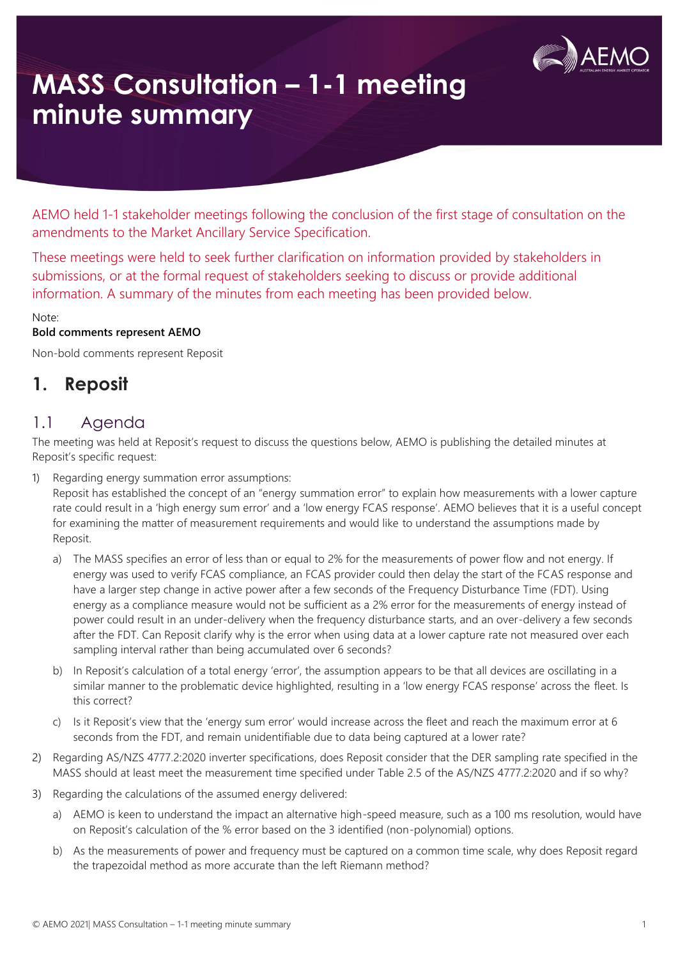

AEMO held 1-1 stakeholder meetings following the conclusion of the first stage of consultation on the amendments to the Market Ancillary Service Specification.

These meetings were held to seek further clarification on information provided by stakeholders in submissions, or at the formal request of stakeholders seeking to discuss or provide additional information. A summary of the minutes from each meeting has been provided below.

#### Note:

#### **Bold comments represent AEMO**

Non-bold comments represent Reposit

## **1. Reposit**

### 1.1 Agenda

The meeting was held at Reposit's request to discuss the questions below, AEMO is publishing the detailed minutes at Reposit's specific request:

1) Regarding energy summation error assumptions:

Reposit has established the concept of an "energy summation error" to explain how measurements with a lower capture rate could result in a 'high energy sum error' and a 'low energy FCAS response'. AEMO believes that it is a useful concept for examining the matter of measurement requirements and would like to understand the assumptions made by Reposit.

- a) The MASS specifies an error of less than or equal to 2% for the measurements of power flow and not energy. If energy was used to verify FCAS compliance, an FCAS provider could then delay the start of the FCAS response and have a larger step change in active power after a few seconds of the Frequency Disturbance Time (FDT). Using energy as a compliance measure would not be sufficient as a 2% error for the measurements of energy instead of power could result in an under-delivery when the frequency disturbance starts, and an over-delivery a few seconds after the FDT. Can Reposit clarify why is the error when using data at a lower capture rate not measured over each sampling interval rather than being accumulated over 6 seconds?
- b) In Reposit's calculation of a total energy 'error', the assumption appears to be that all devices are oscillating in a similar manner to the problematic device highlighted, resulting in a 'low energy FCAS response' across the fleet. Is this correct?
- c) Is it Reposit's view that the 'energy sum error' would increase across the fleet and reach the maximum error at  $6$ seconds from the FDT, and remain unidentifiable due to data being captured at a lower rate?
- 2) Regarding AS/NZS 4777.2:2020 inverter specifications, does Reposit consider that the DER sampling rate specified in the MASS should at least meet the measurement time specified under Table 2.5 of the AS/NZS 4777.2:2020 and if so why?
- 3) Regarding the calculations of the assumed energy delivered:
	- a) AEMO is keen to understand the impact an alternative high-speed measure, such as a 100 ms resolution, would have on Reposit's calculation of the % error based on the 3 identified (non-polynomial) options.
	- b) As the measurements of power and frequency must be captured on a common time scale, why does Reposit regard the trapezoidal method as more accurate than the left Riemann method?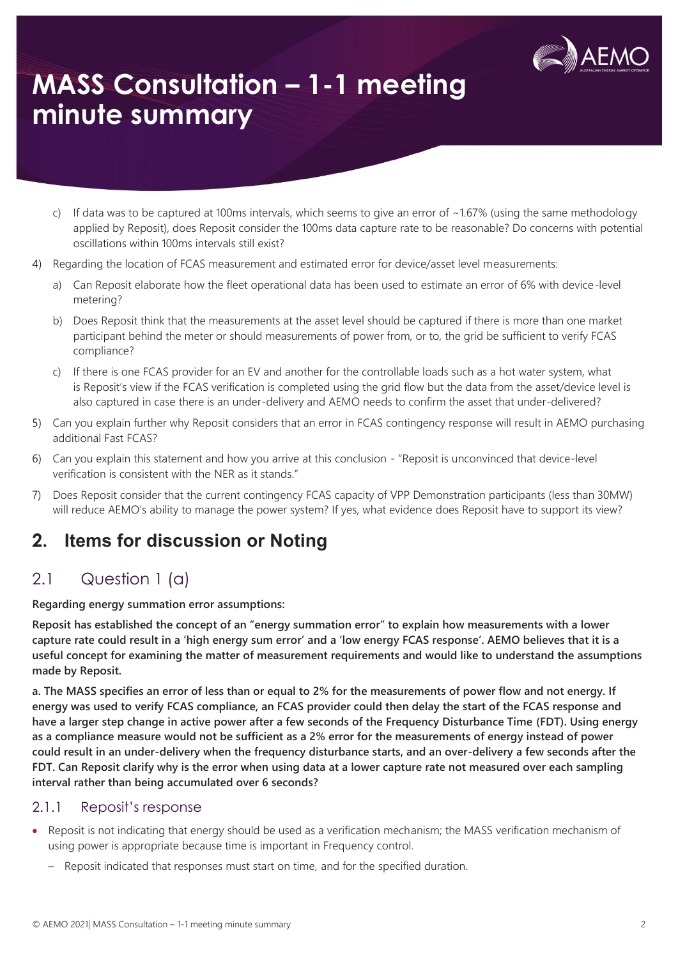

- c) If data was to be captured at 100ms intervals, which seems to give an error of ~1.67% (using the same methodology applied by Reposit), does Reposit consider the 100ms data capture rate to be reasonable? Do concerns with potential oscillations within 100ms intervals still exist?
- 4) Regarding the location of FCAS measurement and estimated error for device/asset level measurements:
	- a) Can Reposit elaborate how the fleet operational data has been used to estimate an error of 6% with device-level metering?
	- b) Does Reposit think that the measurements at the asset level should be captured if there is more than one market participant behind the meter or should measurements of power from, or to, the grid be sufficient to verify FCAS compliance?
	- c) If there is one FCAS provider for an EV and another for the controllable loads such as a hot water system, what is Reposit's view if the FCAS verification is completed using the grid flow but the data from the asset/device level is also captured in case there is an under-delivery and AEMO needs to confirm the asset that under-delivered?
- 5) Can you explain further why Reposit considers that an error in FCAS contingency response will result in AEMO purchasing additional Fast FCAS?
- 6) Can you explain this statement and how you arrive at this conclusion "Reposit is unconvinced that device-level verification is consistent with the NER as it stands."
- 7) Does Reposit consider that the current contingency FCAS capacity of VPP Demonstration participants (less than 30MW) will reduce AEMO's ability to manage the power system? If yes, what evidence does Reposit have to support its view?

## **2. Items for discussion or Noting**

## 2.1 Question 1 (a)

**Regarding energy summation error assumptions:**

**Reposit has established the concept of an "energy summation error" to explain how measurements with a lower capture rate could result in a 'high energy sum error' and a 'low energy FCAS response'. AEMO believes that it is a useful concept for examining the matter of measurement requirements and would like to understand the assumptions made by Reposit.** 

**a. The MASS specifies an error of less than or equal to 2% for the measurements of power flow and not energy. If energy was used to verify FCAS compliance, an FCAS provider could then delay the start of the FCAS response and have a larger step change in active power after a few seconds of the Frequency Disturbance Time (FDT). Using energy as a compliance measure would not be sufficient as a 2% error for the measurements of energy instead of power could result in an under-delivery when the frequency disturbance starts, and an over-delivery a few seconds after the FDT. Can Reposit clarify why is the error when using data at a lower capture rate not measured over each sampling interval rather than being accumulated over 6 seconds?** 

#### 2.1.1 Reposit's response

- Reposit is not indicating that energy should be used as a verification mechanism; the MASS verification mechanism of using power is appropriate because time is important in Frequency control.
	- Reposit indicated that responses must start on time, and for the specified duration.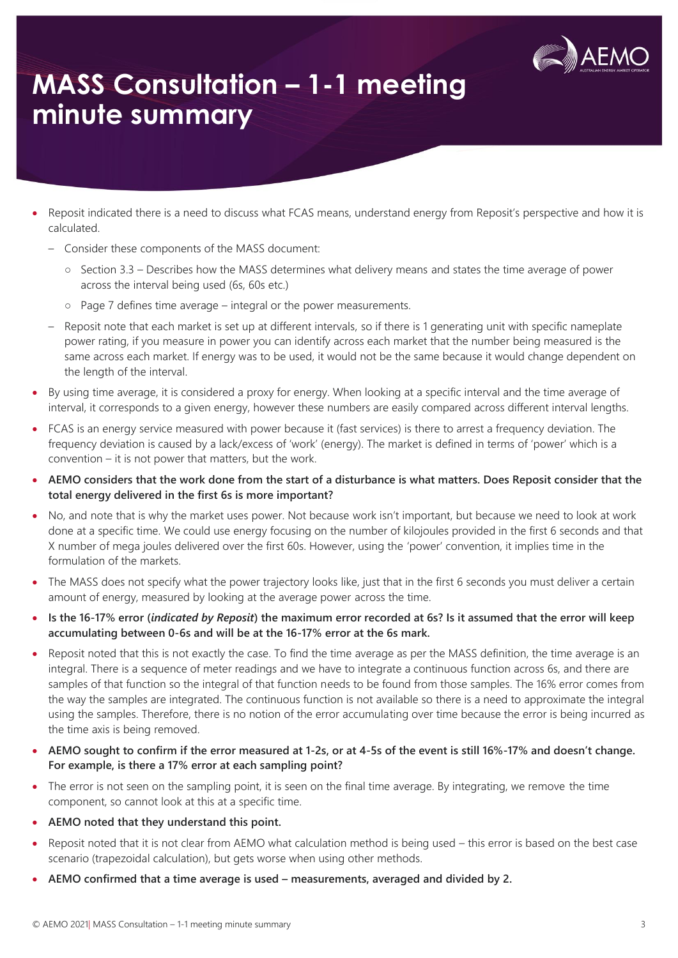

- Reposit indicated there is a need to discuss what FCAS means, understand energy from Reposit's perspective and how it is calculated.
	- Consider these components of the MASS document:
		- Section 3.3 Describes how the MASS determines what delivery means and states the time average of power across the interval being used (6s, 60s etc.)
		- Page 7 defines time average integral or the power measurements.
	- Reposit note that each market is set up at different intervals, so if there is 1 generating unit with specific nameplate power rating, if you measure in power you can identify across each market that the number being measured is the same across each market. If energy was to be used, it would not be the same because it would change dependent on the length of the interval.
- By using time average, it is considered a proxy for energy. When looking at a specific interval and the time average of interval, it corresponds to a given energy, however these numbers are easily compared across different interval lengths.
- FCAS is an energy service measured with power because it (fast services) is there to arrest a frequency deviation. The frequency deviation is caused by a lack/excess of 'work' (energy). The market is defined in terms of 'power' which is a convention – it is not power that matters, but the work.
- **AEMO considers that the work done from the start of a disturbance is what matters. Does Reposit consider that the total energy delivered in the first 6s is more important?**
- No, and note that is why the market uses power. Not because work isn't important, but because we need to look at work done at a specific time. We could use energy focusing on the number of kilojoules provided in the first 6 seconds and that X number of mega joules delivered over the first 60s. However, using the 'power' convention, it implies time in the formulation of the markets.
- The MASS does not specify what the power trajectory looks like, just that in the first 6 seconds you must deliver a certain amount of energy, measured by looking at the average power across the time.
- **Is the 16-17% error (***indicated by Reposit***) the maximum error recorded at 6s? Is it assumed that the error will keep accumulating between 0-6s and will be at the 16-17% error at the 6s mark.**
- Reposit noted that this is not exactly the case. To find the time average as per the MASS definition, the time average is an integral. There is a sequence of meter readings and we have to integrate a continuous function across 6s, and there are samples of that function so the integral of that function needs to be found from those samples. The 16% error comes from the way the samples are integrated. The continuous function is not available so there is a need to approximate the integral using the samples. Therefore, there is no notion of the error accumulating over time because the error is being incurred as the time axis is being removed.
- **AEMO sought to confirm if the error measured at 1-2s, or at 4-5s of the event is still 16%-17% and doesn't change. For example, is there a 17% error at each sampling point?**
- The error is not seen on the sampling point, it is seen on the final time average. By integrating, we remove the time component, so cannot look at this at a specific time.
- **AEMO noted that they understand this point.**
- Reposit noted that it is not clear from AEMO what calculation method is being used this error is based on the best case scenario (trapezoidal calculation), but gets worse when using other methods.
- **AEMO confirmed that a time average is used – measurements, averaged and divided by 2.**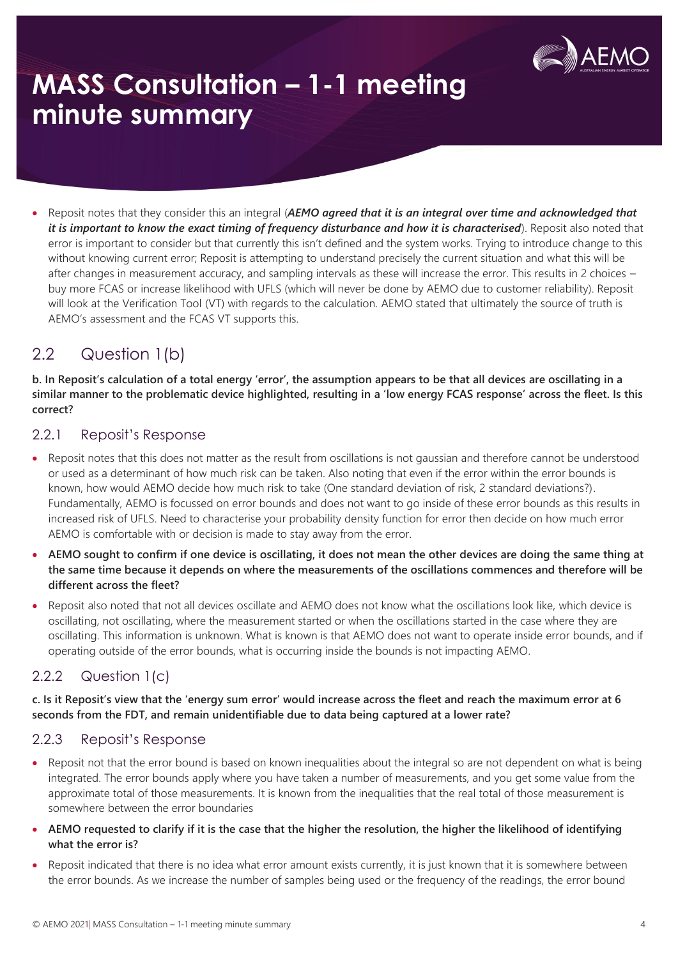

• Reposit notes that they consider this an integral (*AEMO agreed that it is an integral over time and acknowledged that it is important to know the exact timing of frequency disturbance and how it is characterised*). Reposit also noted that error is important to consider but that currently this isn't defined and the system works. Trying to introduce change to this without knowing current error; Reposit is attempting to understand precisely the current situation and what this will be after changes in measurement accuracy, and sampling intervals as these will increase the error. This results in 2 choices – buy more FCAS or increase likelihood with UFLS (which will never be done by AEMO due to customer reliability). Reposit will look at the Verification Tool (VT) with regards to the calculation. AEMO stated that ultimately the source of truth is AEMO's assessment and the FCAS VT supports this.

## 2.2 Question 1(b)

**b. In Reposit's calculation of a total energy 'error', the assumption appears to be that all devices are oscillating in a similar manner to the problematic device highlighted, resulting in a 'low energy FCAS response' across the fleet. Is this correct?**

### 2.2.1 Reposit's Response

- Reposit notes that this does not matter as the result from oscillations is not gaussian and therefore cannot be understood or used as a determinant of how much risk can be taken. Also noting that even if the error within the error bounds is known, how would AEMO decide how much risk to take (One standard deviation of risk, 2 standard deviations?). Fundamentally, AEMO is focussed on error bounds and does not want to go inside of these error bounds as this results in increased risk of UFLS. Need to characterise your probability density function for error then decide on how much error AEMO is comfortable with or decision is made to stay away from the error.
- **AEMO sought to confirm if one device is oscillating, it does not mean the other devices are doing the same thing at the same time because it depends on where the measurements of the oscillations commences and therefore will be different across the fleet?**
- Reposit also noted that not all devices oscillate and AEMO does not know what the oscillations look like, which device is oscillating, not oscillating, where the measurement started or when the oscillations started in the case where they are oscillating. This information is unknown. What is known is that AEMO does not want to operate inside error bounds, and if operating outside of the error bounds, what is occurring inside the bounds is not impacting AEMO.

### 2.2.2 Question 1(c)

**c. Is it Reposit's view that the 'energy sum error' would increase across the fleet and reach the maximum error at 6 seconds from the FDT, and remain unidentifiable due to data being captured at a lower rate?**

### 2.2.3 Reposit's Response

- Reposit not that the error bound is based on known inequalities about the integral so are not dependent on what is being integrated. The error bounds apply where you have taken a number of measurements, and you get some value from the approximate total of those measurements. It is known from the inequalities that the real total of those measurement is somewhere between the error boundaries
- **AEMO requested to clarify if it is the case that the higher the resolution, the higher the likelihood of identifying what the error is?**
- Reposit indicated that there is no idea what error amount exists currently, it is just known that it is somewhere between the error bounds. As we increase the number of samples being used or the frequency of the readings, the error bound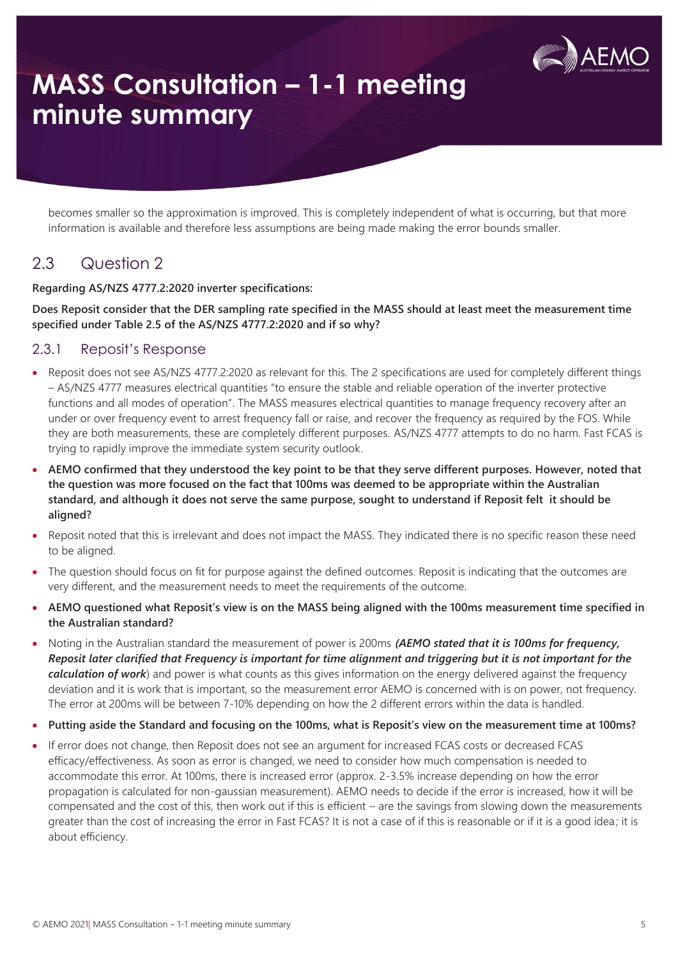

becomes smaller so the approximation is improved. This is completely independent of what is occurring, but that more information is available and therefore less assumptions are being made making the error bounds smaller.

### 2.3 Question 2

#### **Regarding AS/NZS 4777.2:2020 inverter specifications:**

#### **Does Reposit consider that the DER sampling rate specified in the MASS should at least meet the measurement time specified under Table 2.5 of the AS/NZS 4777.2:2020 and if so why?**

#### 2.3.1 Reposit's Response

- Reposit does not see AS/NZS 4777.2:2020 as relevant for this. The 2 specifications are used for completely different things – AS/NZS 4777 measures electrical quantities "to ensure the stable and reliable operation of the inverter protective functions and all modes of operation". The MASS measures electrical quantities to manage frequency recovery after an under or over frequency event to arrest frequency fall or raise, and recover the frequency as required by the FOS. While they are both measurements, these are completely different purposes. AS/NZS 4777 attempts to do no harm. Fast FCAS is trying to rapidly improve the immediate system security outlook.
- **AEMO confirmed that they understood the key point to be that they serve different purposes. However, noted that the question was more focused on the fact that 100ms was deemed to be appropriate within the Australian standard, and although it does not serve the same purpose, sought to understand if Reposit felt it should be aligned?**
- Reposit noted that this is irrelevant and does not impact the MASS. They indicated there is no specific reason these need to be aligned.
- The question should focus on fit for purpose against the defined outcomes. Reposit is indicating that the outcomes are very different, and the measurement needs to meet the requirements of the outcome.
- **AEMO questioned what Reposit's view is on the MASS being aligned with the 100ms measurement time specified in the Australian standard?**
- Noting in the Australian standard the measurement of power is 200ms *(AEMO stated that it is 100ms for frequency, Reposit later clarified that Frequency is important for time alignment and triggering but it is not important for the calculation of work*) and power is what counts as this gives information on the energy delivered against the frequency deviation and it is work that is important, so the measurement error AEMO is concerned with is on power, not frequency. The error at 200ms will be between 7-10% depending on how the 2 different errors within the data is handled.
- **Putting aside the Standard and focusing on the 100ms, what is Reposit's view on the measurement time at 100ms?**
- If error does not change, then Reposit does not see an argument for increased FCAS costs or decreased FCAS efficacy/effectiveness. As soon as error is changed, we need to consider how much compensation is needed to accommodate this error. At 100ms, there is increased error (approx. 2-3.5% increase depending on how the error propagation is calculated for non-gaussian measurement). AEMO needs to decide if the error is increased, how it will be compensated and the cost of this, then work out if this is efficient – are the savings from slowing down the measurements greater than the cost of increasing the error in Fast FCAS? It is not a case of if this is reasonable or if it is a good idea; it is about efficiency.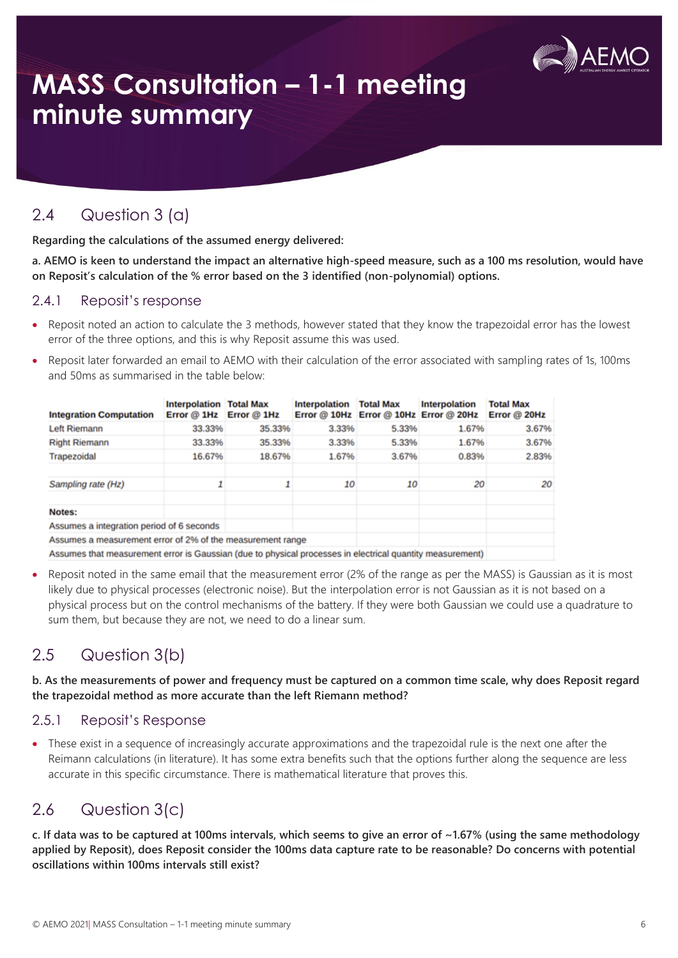

### 2.4 Question 3 (a)

**Regarding the calculations of the assumed energy delivered:**

**a. AEMO is keen to understand the impact an alternative high-speed measure, such as a 100 ms resolution, would have on Reposit's calculation of the % error based on the 3 identified (non-polynomial) options.**

#### 2.4.1 Reposit's response

- Reposit noted an action to calculate the 3 methods, however stated that they know the trapezoidal error has the lowest error of the three options, and this is why Reposit assume this was used.
- Reposit later forwarded an email to AEMO with their calculation of the error associated with sampling rates of 1s, 100ms and 50ms as summarised in the table below:

| <b>Integration Computation</b>                             | <b>Interpolation Total Max</b><br>Error $@$ 1Hz Error $@$ 1Hz |        | <b>Interpolation</b> | <b>Total Max</b> | Interpolation<br>Error @ 10Hz Error @ 10Hz Error @ 20Hz | <b>Total Max</b><br>Error @ 20Hz |
|------------------------------------------------------------|---------------------------------------------------------------|--------|----------------------|------------------|---------------------------------------------------------|----------------------------------|
| Left Riemann                                               | 33.33%                                                        | 35.33% | 3.33%                | 5.33%            | 1.67%                                                   | 3.67%                            |
| <b>Right Riemann</b>                                       | 33.33%                                                        | 35.33% | 3.33%                | 5.33%            | 1.67%                                                   | 3.67%                            |
| Trapezoidal                                                | 16.67%                                                        | 18.67% | 1.67%                | 3.67%            | 0.83%                                                   | 2.83%                            |
| Sampling rate (Hz)                                         | ٠                                                             | 1      | 10                   | 10               | 20                                                      | 20                               |
| Notes:                                                     |                                                               |        |                      |                  |                                                         |                                  |
| Assumes a integration period of 6 seconds                  |                                                               |        |                      |                  |                                                         |                                  |
| Assumes a measurement error of 2% of the measurement range |                                                               |        |                      |                  |                                                         |                                  |

Assumes that measurement error is Gaussian (due to physical processes in electrical quantity measurement)

• Reposit noted in the same email that the measurement error (2% of the range as per the MASS) is Gaussian as it is most likely due to physical processes (electronic noise). But the interpolation error is not Gaussian as it is not based on a physical process but on the control mechanisms of the battery. If they were both Gaussian we could use a quadrature to sum them, but because they are not, we need to do a linear sum.

## 2.5 Question 3(b)

**b. As the measurements of power and frequency must be captured on a common time scale, why does Reposit regard the trapezoidal method as more accurate than the left Riemann method?**

### 2.5.1 Reposit's Response

• These exist in a sequence of increasingly accurate approximations and the trapezoidal rule is the next one after the Reimann calculations (in literature). It has some extra benefits such that the options further along the sequence are less accurate in this specific circumstance. There is mathematical literature that proves this.

## 2.6 Question 3(c)

**c. If data was to be captured at 100ms intervals, which seems to give an error of ~1.67% (using the same methodology applied by Reposit), does Reposit consider the 100ms data capture rate to be reasonable? Do concerns with potential oscillations within 100ms intervals still exist?**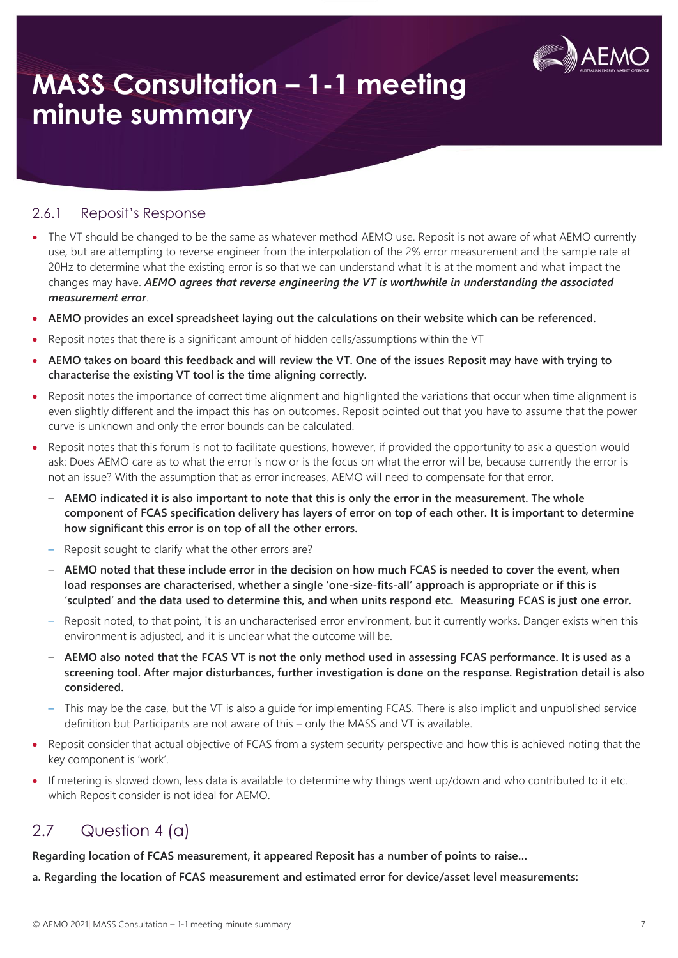

#### 2.6.1 Reposit's Response

- The VT should be changed to be the same as whatever method AEMO use. Reposit is not aware of what AEMO currently use, but are attempting to reverse engineer from the interpolation of the 2% error measurement and the sample rate at 20Hz to determine what the existing error is so that we can understand what it is at the moment and what impact the changes may have. *AEMO agrees that reverse engineering the VT is worthwhile in understanding the associated measurement error*.
- **AEMO provides an excel spreadsheet laying out the calculations on their website which can be referenced.**
- Reposit notes that there is a significant amount of hidden cells/assumptions within the VT
- **AEMO takes on board this feedback and will review the VT. One of the issues Reposit may have with trying to characterise the existing VT tool is the time aligning correctly.**
- Reposit notes the importance of correct time alignment and highlighted the variations that occur when time alignment is even slightly different and the impact this has on outcomes. Reposit pointed out that you have to assume that the power curve is unknown and only the error bounds can be calculated.
- Reposit notes that this forum is not to facilitate questions, however, if provided the opportunity to ask a question would ask: Does AEMO care as to what the error is now or is the focus on what the error will be, because currently the error is not an issue? With the assumption that as error increases, AEMO will need to compensate for that error.
	- **AEMO indicated it is also important to note that this is only the error in the measurement. The whole component of FCAS specification delivery has layers of error on top of each other. It is important to determine how significant this error is on top of all the other errors.**
	- Reposit sought to clarify what the other errors are?
	- **AEMO noted that these include error in the decision on how much FCAS is needed to cover the event, when load responses are characterised, whether a single 'one-size-fits-all' approach is appropriate or if this is 'sculpted' and the data used to determine this, and when units respond etc. Measuring FCAS is just one error.**
	- Reposit noted, to that point, it is an uncharacterised error environment, but it currently works. Danger exists when this environment is adjusted, and it is unclear what the outcome will be.
	- **AEMO also noted that the FCAS VT is not the only method used in assessing FCAS performance. It is used as a screening tool. After major disturbances, further investigation is done on the response. Registration detail is also considered.**
	- This may be the case, but the VT is also a guide for implementing FCAS. There is also implicit and unpublished service definition but Participants are not aware of this – only the MASS and VT is available.
- Reposit consider that actual objective of FCAS from a system security perspective and how this is achieved noting that the key component is 'work'.
- If metering is slowed down, less data is available to determine why things went up/down and who contributed to it etc. which Reposit consider is not ideal for AEMO.

## 2.7 Question 4 (a)

**Regarding location of FCAS measurement, it appeared Reposit has a number of points to raise…**

**a. Regarding the location of FCAS measurement and estimated error for device/asset level measurements:**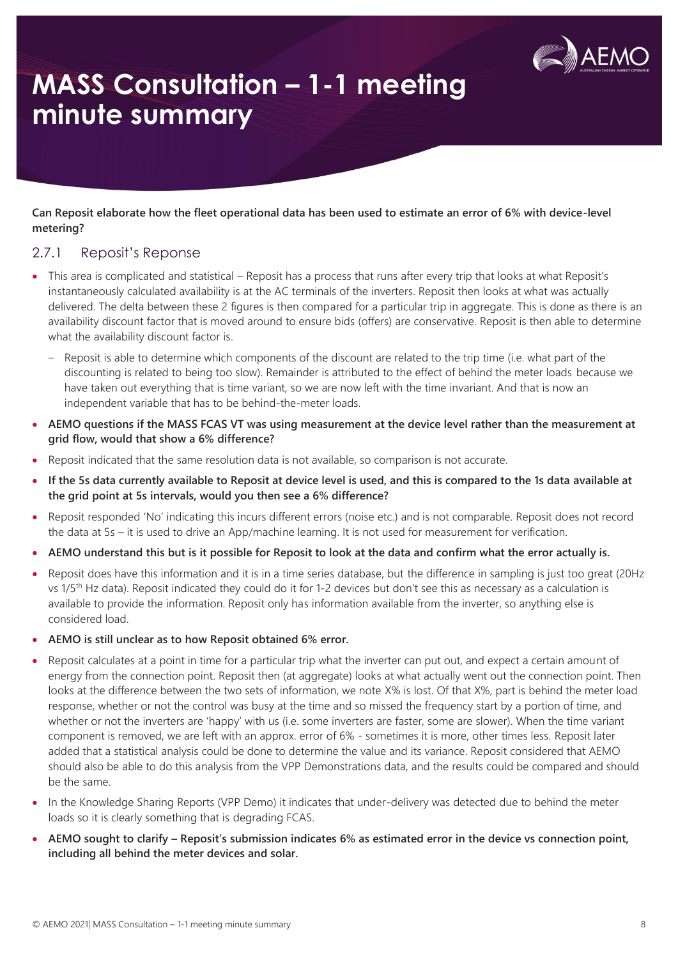

**Can Reposit elaborate how the fleet operational data has been used to estimate an error of 6% with device-level metering?**

### 2.7.1 Reposit's Reponse

- This area is complicated and statistical Reposit has a process that runs after every trip that looks at what Reposit's instantaneously calculated availability is at the AC terminals of the inverters. Reposit then looks at what was actually delivered. The delta between these 2 figures is then compared for a particular trip in aggregate. This is done as there is an availability discount factor that is moved around to ensure bids (offers) are conservative. Reposit is then able to determine what the availability discount factor is.
	- Reposit is able to determine which components of the discount are related to the trip time (i.e. what part of the discounting is related to being too slow). Remainder is attributed to the effect of behind the meter loads because we have taken out everything that is time variant, so we are now left with the time invariant. And that is now an independent variable that has to be behind-the-meter loads.
- **AEMO questions if the MASS FCAS VT was using measurement at the device level rather than the measurement at grid flow, would that show a 6% difference?**
- Reposit indicated that the same resolution data is not available, so comparison is not accurate.
- **If the 5s data currently available to Reposit at device level is used, and this is compared to the 1s data available at the grid point at 5s intervals, would you then see a 6% difference?**
- Reposit responded 'No' indicating this incurs different errors (noise etc.) and is not comparable. Reposit does not record the data at 5s – it is used to drive an App/machine learning. It is not used for measurement for verification.
- **AEMO understand this but is it possible for Reposit to look at the data and confirm what the error actually is.**
- Reposit does have this information and it is in a time series database, but the difference in sampling is just too great (20Hz vs 1/5<sup>th</sup> Hz data). Reposit indicated they could do it for 1-2 devices but don't see this as necessary as a calculation is available to provide the information. Reposit only has information available from the inverter, so anything else is considered load.
- **AEMO is still unclear as to how Reposit obtained 6% error.**
- Reposit calculates at a point in time for a particular trip what the inverter can put out, and expect a certain amount of energy from the connection point. Reposit then (at aggregate) looks at what actually went out the connection point. Then looks at the difference between the two sets of information, we note X% is lost. Of that X%, part is behind the meter load response, whether or not the control was busy at the time and so missed the frequency start by a portion of time, and whether or not the inverters are 'happy' with us (i.e. some inverters are faster, some are slower). When the time variant component is removed, we are left with an approx. error of 6% - sometimes it is more, other times less. Reposit later added that a statistical analysis could be done to determine the value and its variance. Reposit considered that AEMO should also be able to do this analysis from the VPP Demonstrations data, and the results could be compared and should be the same.
- In the Knowledge Sharing Reports (VPP Demo) it indicates that under-delivery was detected due to behind the meter loads so it is clearly something that is degrading FCAS.
- **AEMO sought to clarify – Reposit's submission indicates 6% as estimated error in the device vs connection point, including all behind the meter devices and solar.**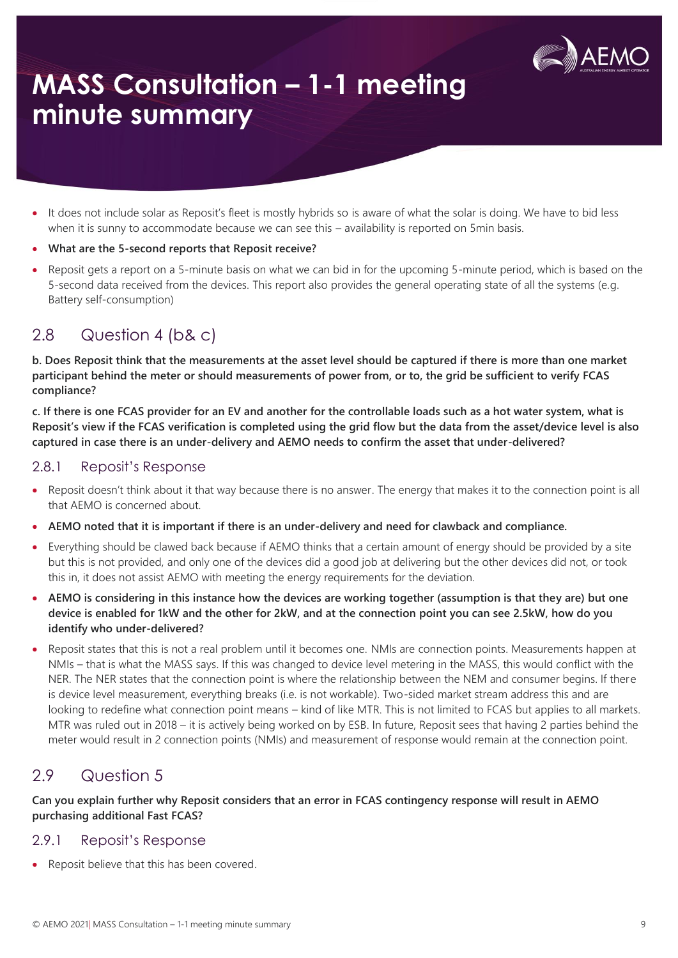

- It does not include solar as Reposit's fleet is mostly hybrids so is aware of what the solar is doing. We have to bid less when it is sunny to accommodate because we can see this – availability is reported on 5min basis.
- **What are the 5-second reports that Reposit receive?**
- Reposit gets a report on a 5-minute basis on what we can bid in for the upcoming 5-minute period, which is based on the 5-second data received from the devices. This report also provides the general operating state of all the systems (e.g. Battery self-consumption)

### 2.8 Question 4 (b& c)

**b. Does Reposit think that the measurements at the asset level should be captured if there is more than one market participant behind the meter or should measurements of power from, or to, the grid be sufficient to verify FCAS compliance?** 

**c. If there is one FCAS provider for an EV and another for the controllable loads such as a hot water system, what is Reposit's view if the FCAS verification is completed using the grid flow but the data from the asset/device level is also captured in case there is an under-delivery and AEMO needs to confirm the asset that under-delivered?**

#### 2.8.1 Reposit's Response

- Reposit doesn't think about it that way because there is no answer. The energy that makes it to the connection point is all that AEMO is concerned about.
- **AEMO noted that it is important if there is an under-delivery and need for clawback and compliance.**
- Everything should be clawed back because if AEMO thinks that a certain amount of energy should be provided by a site but this is not provided, and only one of the devices did a good job at delivering but the other devices did not, or took this in, it does not assist AEMO with meeting the energy requirements for the deviation.
- **AEMO is considering in this instance how the devices are working together (assumption is that they are) but one device is enabled for 1kW and the other for 2kW, and at the connection point you can see 2.5kW, how do you identify who under-delivered?**
- Reposit states that this is not a real problem until it becomes one. NMIs are connection points. Measurements happen at NMIs – that is what the MASS says. If this was changed to device level metering in the MASS, this would conflict with the NER. The NER states that the connection point is where the relationship between the NEM and consumer begins. If there is device level measurement, everything breaks (i.e. is not workable). Two-sided market stream address this and are looking to redefine what connection point means – kind of like MTR. This is not limited to FCAS but applies to all markets. MTR was ruled out in 2018 – it is actively being worked on by ESB. In future, Reposit sees that having 2 parties behind the meter would result in 2 connection points (NMIs) and measurement of response would remain at the connection point.

### 2.9 Question 5

**Can you explain further why Reposit considers that an error in FCAS contingency response will result in AEMO purchasing additional Fast FCAS?** 

### 2.9.1 Reposit's Response

• Reposit believe that this has been covered.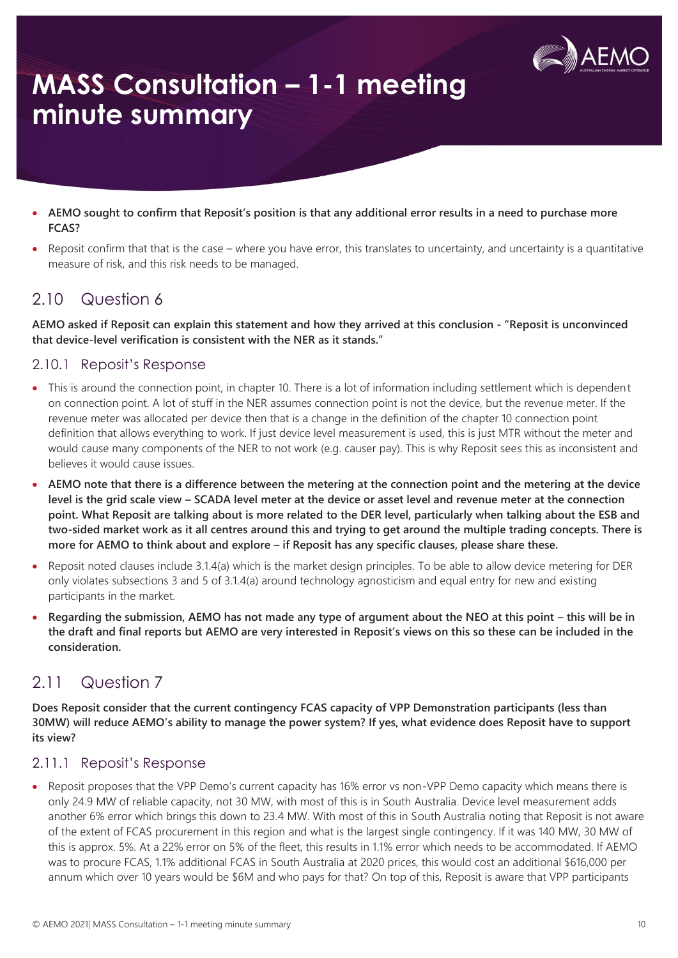

- **AEMO sought to confirm that Reposit's position is that any additional error results in a need to purchase more FCAS?**
- Reposit confirm that that is the case where you have error, this translates to uncertainty, and uncertainty is a quantitative measure of risk, and this risk needs to be managed.

## 2.10 Question 6

**AEMO asked if Reposit can explain this statement and how they arrived at this conclusion - "Reposit is unconvinced that device-level verification is consistent with the NER as it stands."** 

### 2.10.1 Reposit's Response

- This is around the connection point, in chapter 10. There is a lot of information including settlement which is dependent on connection point. A lot of stuff in the NER assumes connection point is not the device, but the revenue meter. If the revenue meter was allocated per device then that is a change in the definition of the chapter 10 connection point definition that allows everything to work. If just device level measurement is used, this is just MTR without the meter and would cause many components of the NER to not work (e.g. causer pay). This is why Reposit sees this as inconsistent and believes it would cause issues.
- **AEMO note that there is a difference between the metering at the connection point and the metering at the device level is the grid scale view – SCADA level meter at the device or asset level and revenue meter at the connection point. What Reposit are talking about is more related to the DER level, particularly when talking about the ESB and two-sided market work as it all centres around this and trying to get around the multiple trading concepts. There is more for AEMO to think about and explore – if Reposit has any specific clauses, please share these.**
- Reposit noted clauses include 3.1.4(a) which is the market design principles. To be able to allow device metering for DER only violates subsections 3 and 5 of 3.1.4(a) around technology agnosticism and equal entry for new and existing participants in the market.
- Regarding the submission, AEMO has not made any type of argument about the NEO at this point this will be in **the draft and final reports but AEMO are very interested in Reposit's views on this so these can be included in the consideration.**

## 2.11 Question 7

**Does Reposit consider that the current contingency FCAS capacity of VPP Demonstration participants (less than 30MW) will reduce AEMO's ability to manage the power system? If yes, what evidence does Reposit have to support its view?**

### 2.11.1 Reposit's Response

• Reposit proposes that the VPP Demo's current capacity has 16% error vs non-VPP Demo capacity which means there is only 24.9 MW of reliable capacity, not 30 MW, with most of this is in South Australia. Device level measurement adds another 6% error which brings this down to 23.4 MW. With most of this in South Australia noting that Reposit is not aware of the extent of FCAS procurement in this region and what is the largest single contingency. If it was 140 MW, 30 MW of this is approx. 5%. At a 22% error on 5% of the fleet, this results in 1.1% error which needs to be accommodated. If AEMO was to procure FCAS, 1.1% additional FCAS in South Australia at 2020 prices, this would cost an additional \$616,000 per annum which over 10 years would be \$6M and who pays for that? On top of this, Reposit is aware that VPP participants